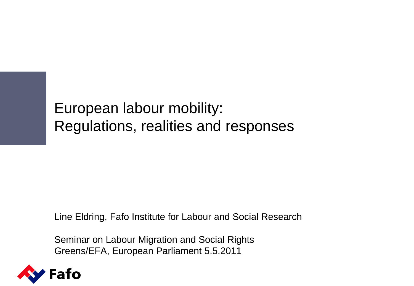European labour mobility: Regulations, realities and responses

Line Eldring, Fafo Institute for Labour and Social Research

Seminar on Labour Migration and Social Rights Greens/EFA, European Parliament 5.5.2011

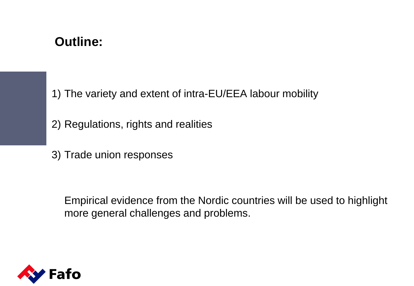#### **Outline:**

1) The variety and extent of intra-EU/EEA labour mobility

2) Regulations, rights and realities

3) Trade union responses

Empirical evidence from the Nordic countries will be used to highlight more general challenges and problems.

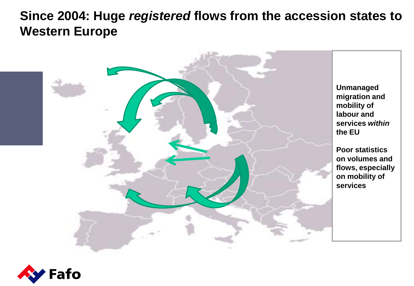#### **Since 2004: Huge** *registered* **flows from the accession states to Western Europe**



![](_page_2_Picture_2.jpeg)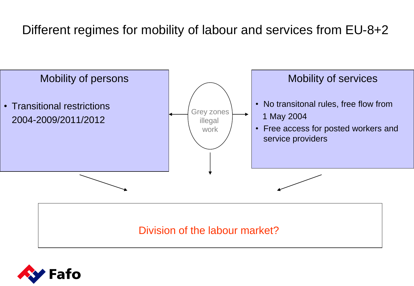## Different regimes for mobility of labour and services from EU-8+2

![](_page_3_Figure_1.jpeg)

![](_page_3_Picture_2.jpeg)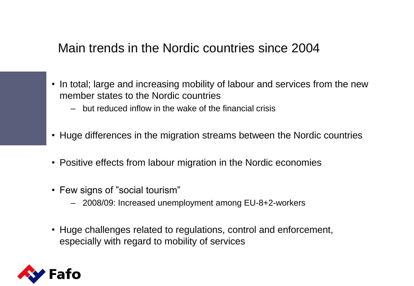#### Main trends in the Nordic countries since 2004

- In total; large and increasing mobility of labour and services from the new member states to the Nordic countries
	- but reduced inflow in the wake of the financial crisis
- Huge differences in the migration streams between the Nordic countries
- Positive effects from labour migration in the Nordic economies
- Few signs of "social tourism"
	- 2008/09: Increased unemployment among EU-8+2-workers
- Huge challenges related to regulations, control and enforcement, especially with regard to mobility of services

![](_page_4_Picture_8.jpeg)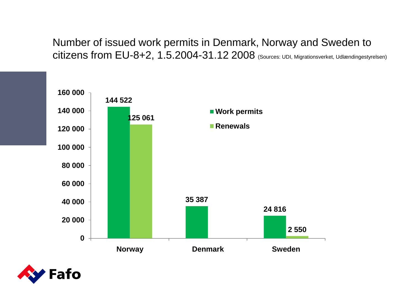Number of issued work permits in Denmark, Norway and Sweden to citizens from EU-8+2, 1.5.2004-31.12 2008 (Sources: UDI, Migrationsverket, Udlændingestyrelsen)

![](_page_5_Figure_1.jpeg)

![](_page_5_Picture_2.jpeg)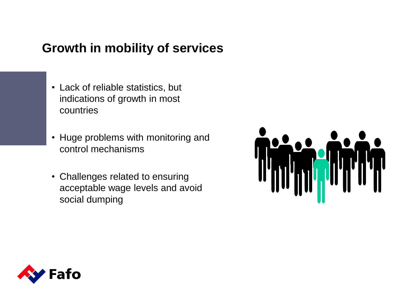#### **Growth in mobility of services**

- Lack of reliable statistics, but indications of growth in most countries
- Huge problems with monitoring and control mechanisms
- Challenges related to ensuring acceptable wage levels and avoid social dumping

![](_page_6_Picture_4.jpeg)

![](_page_6_Picture_5.jpeg)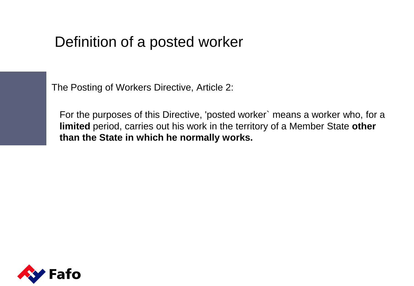# Definition of a posted worker

The Posting of Workers Directive, Article 2:

For the purposes of this Directive, 'posted worker` means a worker who, for a **limited** period, carries out his work in the territory of a Member State **other than the State in which he normally works.**

![](_page_7_Picture_3.jpeg)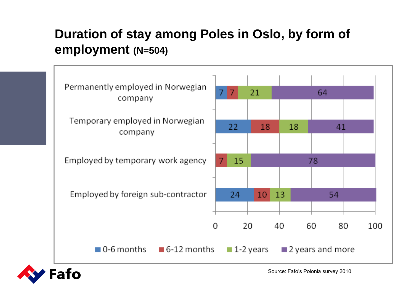## **Duration of stay among Poles in Oslo, by form of employment (N=504)**

![](_page_8_Figure_1.jpeg)

![](_page_8_Picture_2.jpeg)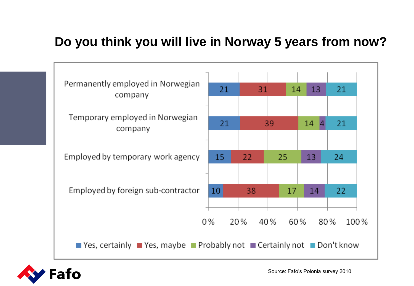#### **Do you think you will live in Norway 5 years from now?**

![](_page_9_Figure_1.jpeg)

![](_page_9_Picture_2.jpeg)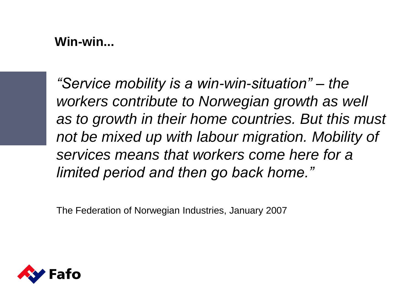#### **Win-win...**

*"Service mobility is a win-win-situation" – the workers contribute to Norwegian growth as well as to growth in their home countries. But this must not be mixed up with labour migration. Mobility of services means that workers come here for a limited period and then go back home."*

The Federation of Norwegian Industries, January 2007

![](_page_10_Picture_3.jpeg)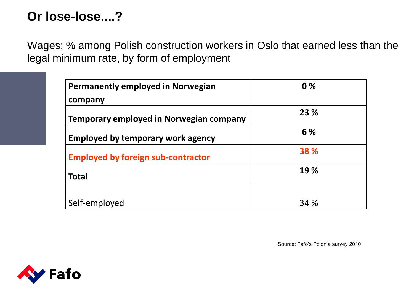## **Or lose-lose....?**

Wages: % among Polish construction workers in Oslo that earned less than the legal minimum rate, by form of employment

| <b>Permanently employed in Norwegian</b>  | 0%   |
|-------------------------------------------|------|
| company                                   |      |
| Temporary employed in Norwegian company   | 23 % |
| <b>Employed by temporary work agency</b>  | 6 %  |
| <b>Employed by foreign sub-contractor</b> | 38 % |
| <b>Total</b>                              | 19 % |
|                                           |      |
| Self-employed                             | 34 % |

Source: Fafo's Polonia survey 2010

![](_page_11_Picture_4.jpeg)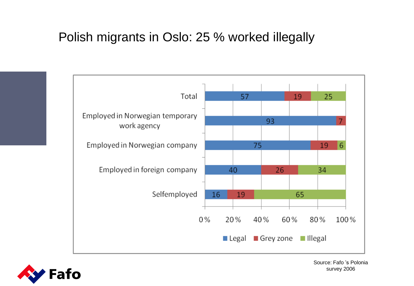#### Polish migrants in Oslo: 25 % worked illegally

![](_page_12_Figure_1.jpeg)

![](_page_12_Picture_2.jpeg)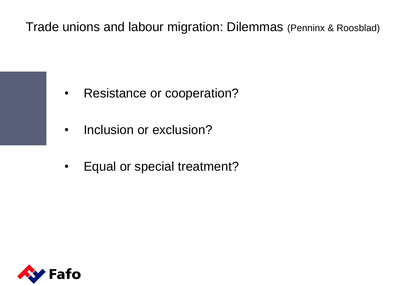Trade unions and labour migration: Dilemmas (Penninx & Roosblad)

- Resistance or cooperation?
- Inclusion or exclusion?
- Equal or special treatment?

![](_page_13_Picture_4.jpeg)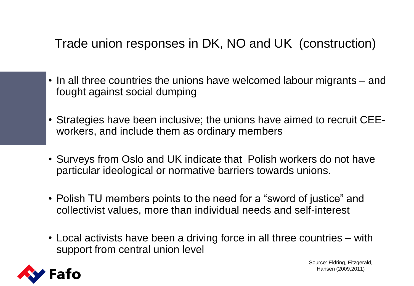# Trade union responses in DK, NO and UK (construction)

- In all three countries the unions have welcomed labour migrants and fought against social dumping
- Strategies have been inclusive; the unions have aimed to recruit CEEworkers, and include them as ordinary members
- Surveys from Oslo and UK indicate that Polish workers do not have particular ideological or normative barriers towards unions.
- Polish TU members points to the need for a "sword of justice" and collectivist values, more than individual needs and self-interest
- Local activists have been a driving force in all three countries with support from central union level

![](_page_14_Picture_6.jpeg)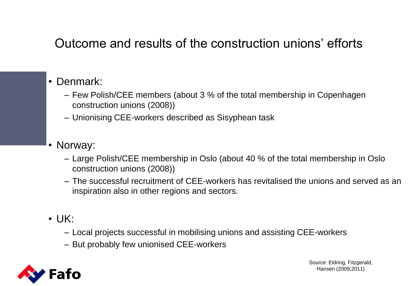## Outcome and results of the construction unions' efforts

#### • Denmark:

- Few Polish/CEE members (about 3 % of the total membership in Copenhagen construction unions (2008))
- Unionising CEE-workers described as Sisyphean task

#### • Norway:

- Large Polish/CEE membership in Oslo (about 40 % of the total membership in Oslo construction unions (2008))
- The successful recruitment of CEE-workers has revitalised the unions and served as an inspiration also in other regions and sectors.
- $\cdot$  UK:
	- Local projects successful in mobilising unions and assisting CEE-workers
	- But probably few unionised CEE-workers

![](_page_15_Picture_10.jpeg)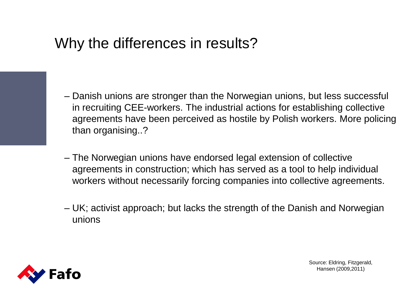# Why the differences in results?

- Danish unions are stronger than the Norwegian unions, but less successful in recruiting CEE-workers. The industrial actions for establishing collective agreements have been perceived as hostile by Polish workers. More policing than organising..?
- The Norwegian unions have endorsed legal extension of collective agreements in construction; which has served as a tool to help individual workers without necessarily forcing companies into collective agreements.
- UK; activist approach; but lacks the strength of the Danish and Norwegian unions

![](_page_16_Picture_4.jpeg)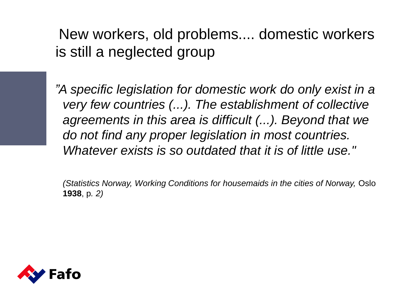New workers, old problems.... domestic workers is still a neglected group

*"A specific legislation for domestic work do only exist in a very few countries (...). The establishment of collective agreements in this area is difficult (...). Beyond that we do not find any proper legislation in most countries. Whatever exists is so outdated that it is of little use."*

*(Statistics Norway, Working Conditions for housemaids in the cities of Norway, Oslo* **1938**, p*. 2)*

![](_page_17_Picture_3.jpeg)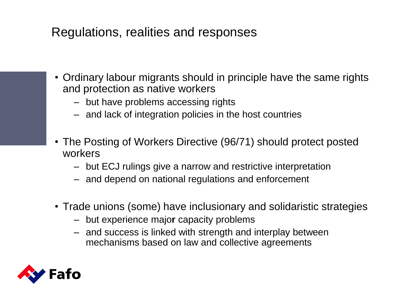#### Regulations, realities and responses

- Ordinary labour migrants should in principle have the same rights and protection as native workers
	- but have problems accessing rights
	- and lack of integration policies in the host countries
- The Posting of Workers Directive (96/71) should protect posted workers
	- but ECJ rulings give a narrow and restrictive interpretation
	- and depend on national regulations and enforcement
- Trade unions (some) have inclusionary and solidaristic strategies
	- but experience majo**r** capacity problems
	- and success is linked with strength and interplay between mechanisms based on law and collective agreements

![](_page_18_Picture_10.jpeg)